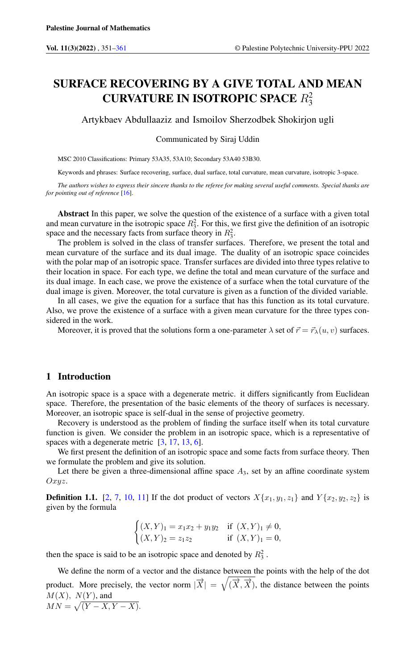# SURFACE RECOVERING BY A GIVE TOTAL AND MEAN CURVATURE IN ISOTROPIC SPACE  $R_3^2$

Artykbaev Abdullaaziz and Ismoilov Sherzodbek Shokirjon ugli

Communicated by Siraj Uddin

MSC 2010 Classifications: Primary 53A35, 53A10; Secondary 53A40 53B30.

Keywords and phrases: Surface recovering, surface, dual surface, total curvature, mean curvature, isotropic 3-space.

*The authors wishes to express their sincere thanks to the referee for making several useful comments. Special thanks are for pointing out of reference* [\[16\]](#page-9-1).

Abstract In this paper, we solve the question of the existence of a surface with a given total and mean curvature in the isotropic space  $R_3^2$ . For this, we first give the definition of an isotropic space and the necessary facts from surface theory in  $R_3^2$ .

The problem is solved in the class of transfer surfaces. Therefore, we present the total and mean curvature of the surface and its dual image. The duality of an isotropic space coincides with the polar map of an isotropic space. Transfer surfaces are divided into three types relative to their location in space. For each type, we define the total and mean curvature of the surface and its dual image. In each case, we prove the existence of a surface when the total curvature of the dual image is given. Moreover, the total curvature is given as a function of the divided variable.

In all cases, we give the equation for a surface that has this function as its total curvature. Also, we prove the existence of a surface with a given mean curvature for the three types considered in the work.

Moreover, it is proved that the solutions form a one-parameter  $\lambda$  set of  $\vec{r} = \vec{r}_{\lambda}(u, v)$  surfaces.

### 1 Introduction

An isotropic space is a space with a degenerate metric. it differs significantly from Euclidean space. Therefore, the presentation of the basic elements of the theory of surfaces is necessary. Moreover, an isotropic space is self-dual in the sense of projective geometry.

Recovery is understood as the problem of finding the surface itself when its total curvature function is given. We consider the problem in an isotropic space, which is a representative of spaces with a degenerate metric  $[3, 17, 13, 6]$  $[3, 17, 13, 6]$  $[3, 17, 13, 6]$  $[3, 17, 13, 6]$  $[3, 17, 13, 6]$  $[3, 17, 13, 6]$  $[3, 17, 13, 6]$ .

We first present the definition of an isotropic space and some facts from surface theory. Then we formulate the problem and give its solution.

Let there be given a three-dimensional affine space  $A_3$ , set by an affine coordinate system Oxyz.

**Definition 1.1.** [\[2,](#page-9-6) [7,](#page-9-7) [10,](#page-9-8) [11\]](#page-9-9) If the dot product of vectors  $X\{x_1, y_1, z_1\}$  and  $Y\{x_2, y_2, z_2\}$  is given by the formula

$$
\begin{cases} (X,Y)_1 = x_1x_2 + y_1y_2 & \text{if } (X,Y)_1 \neq 0, \\ (X,Y)_2 = z_1z_2 & \text{if } (X,Y)_1 = 0, \end{cases}
$$

then the space is said to be an isotropic space and denoted by  $R_3^2$ .

We define the norm of a vector and the distance between the points with the help of the dot product. More precisely, the vector norm  $|\overrightarrow{X}| = \sqrt{(\overrightarrow{X}, \overrightarrow{X})}$ , the distance between the points  $M(X)$ ,  $N(Y)$ , and  $MN = \sqrt{(Y - X, Y - X)}.$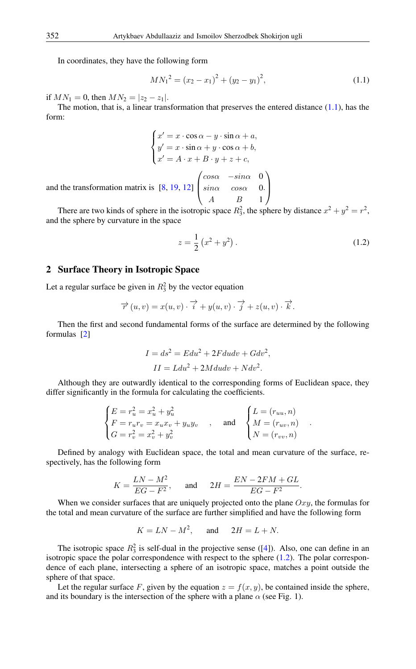In coordinates, they have the following form

<span id="page-1-0"></span>
$$
MN_1^2 = (x_2 - x_1)^2 + (y_2 - y_1)^2,
$$
\n(1.1)

if  $MN_1 = 0$ , then  $MN_2 = |z_2 - z_1|$ .

The motion, that is, a linear transformation that preserves the entered distance  $(1.1)$ , has the form:

$$
\begin{cases}\nx' = x \cdot \cos \alpha - y \cdot \sin \alpha + a, \\
y' = x \cdot \sin \alpha + y \cdot \cos \alpha + b, \\
x' = A \cdot x + B \cdot y + z + c,\n\end{cases}
$$

 $cos\alpha$  − $sin\alpha$  0

 $\sqrt{ }$ 

and the transformation matrix is [\[8,](#page-9-10) [19,](#page-9-11) [12\]](#page-9-12)  $\overline{ }$  $sin\alpha$   $cos\alpha$  0 A B 1

There are two kinds of sphere in the isotropic space  $R_3^2$ , the sphere by distance  $x^2 + y^2 = r^2$ , and the sphere by curvature in the space

<span id="page-1-1"></span>
$$
z = \frac{1}{2} (x^2 + y^2).
$$
 (1.2)

.

.  $\setminus$ 

 $\Big\}$ 

# 2 Surface Theory in Isotropic Space

Let a regular surface be given in  $R_3^2$  by the vector equation

$$
\overrightarrow{r}(u,v) = x(u,v) \cdot \overrightarrow{i} + y(u,v) \cdot \overrightarrow{j} + z(u,v) \cdot \overrightarrow{k}.
$$

Then the first and second fundamental forms of the surface are determined by the following formulas [\[2\]](#page-9-6)

$$
I = ds2 = Edu2 + 2Fdudv + Gdv2,
$$
  

$$
II = Ldu2 + 2Mdudv + Ndv2.
$$

Although they are outwardly identical to the corresponding forms of Euclidean space, they differ significantly in the formula for calculating the coefficients.

$$
\begin{cases} E = r_u^2 = x_u^2 + y_u^2 \\ F = r_u r_v = x_u x_v + y_u y_v \\ G = r_v^2 = x_v^2 + y_v^2 \end{cases}
$$
, and 
$$
\begin{cases} L = (r_{uu}, n) \\ M = (r_{uv}, n) \\ N = (r_{vv}, n) \end{cases}
$$

Defined by analogy with Euclidean space, the total and mean curvature of the surface, respectively, has the following form

$$
K = \frac{LN - M^2}{EG - F^2}, \quad \text{and} \quad 2H = \frac{EN - 2FM + GL}{EG - F^2}.
$$

When we consider surfaces that are uniquely projected onto the plane  $Oxy$ , the formulas for the total and mean curvature of the surface are further simplified and have the following form

$$
K = LN - M^2, \quad \text{and} \quad 2H = L + N.
$$

The isotropic space  $R_3^2$  is self-dual in the projective sense ([\[4\]](#page-9-13)). Also, one can define in an isotropic space the polar correspondence with respect to the sphere  $(1.2)$ . The polar correspondence of each plane, intersecting a sphere of an isotropic space, matches a point outside the sphere of that space.

Let the regular surface F, given by the equation  $z = f(x, y)$ , be contained inside the sphere, and its boundary is the intersection of the sphere with a plane  $\alpha$  (see Fig. 1).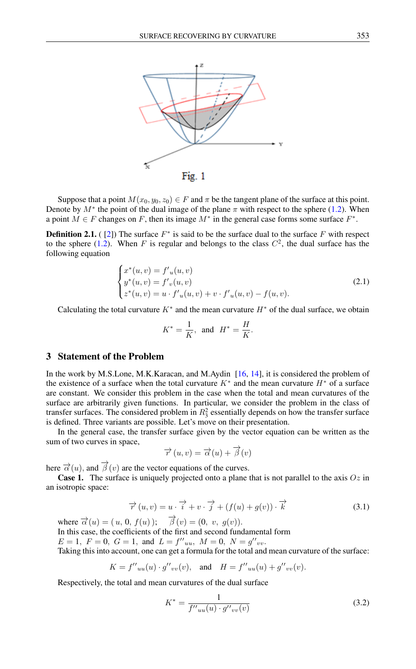

Suppose that a point  $M(x_0, y_0, z_0) \in F$  and  $\pi$  be the tangent plane of the surface at this point. Denote by  $M^*$  the point of the dual image of the plane  $\pi$  with respect to the sphere [\(1.2\)](#page-1-1). When a point  $M \in F$  changes on F, then its image  $M^*$  in the general case forms some surface  $F^*$ .

**Definition 2.1.** ([\[2\]](#page-9-6)) The surface  $F^*$  is said to be the surface dual to the surface F with respect to the sphere [\(1.2\)](#page-1-1). When F is regular and belongs to the class  $C^2$ , the dual surface has the following equation

$$
\begin{cases}\nx^*(u,v) = f'_u(u,v) \\
y^*(u,v) = f'_v(u,v) \\
z^*(u,v) = u \cdot f'_u(u,v) + v \cdot f'_u(u,v) - f(u,v).\n\end{cases}
$$
\n(2.1)

Calculating the total curvature  $K^*$  and the mean curvature  $H^*$  of the dual surface, we obtain

$$
K^* = \frac{1}{K}, \text{ and } H^* = \frac{H}{K}.
$$

# 3 Statement of the Problem

In the work by M.S.Lone, M.K.Karacan, and M.Aydin [\[16,](#page-9-1) [14\]](#page-9-14), it is considered the problem of the existence of a surface when the total curvature  $K^*$  and the mean curvature  $H^*$  of a surface are constant. We consider this problem in the case when the total and mean curvatures of the surface are arbitrarily given functions. In particular, we consider the problem in the class of transfer surfaces. The considered problem in  $R_3^2$  essentially depends on how the transfer surface is defined. Three variants are possible. Let's move on their presentation.

In the general case, the transfer surface given by the vector equation can be written as the sum of two curves in space,

$$
\overrightarrow{r}(u,v) = \overrightarrow{\alpha}(u) + \overrightarrow{\beta}(v)
$$

here  $\vec{\alpha}(u)$ , and  $\vec{\beta}(v)$  are the vector equations of the curves.

<span id="page-2-1"></span>**Case 1.** The surface is uniquely projected onto a plane that is not parallel to the axis  $Oz$  in an isotropic space:

$$
\overrightarrow{r}(u,v) = u \cdot \overrightarrow{i} + v \cdot \overrightarrow{j} + (f(u) + g(v)) \cdot \overrightarrow{k}
$$
 (3.1)

where  $\vec{\alpha}(u) = (u, 0, f(u)); \quad \vec{\beta}(v) = (0, v, g(v)).$ In this case, the coefficients of the first and second fundamental form  $E = 1, F = 0, G = 1, \text{ and } L = f''_{uu}, M = 0, N = g''_{vv}.$ Taking this into account, one can get a formula for the total and mean curvature of the surface:

$$
K = f''_{uu}(u) \cdot g''_{vv}(v)
$$
, and  $H = f''_{uu}(u) + g''_{vv}(v)$ .

Respectively, the total and mean curvatures of the dual surface

<span id="page-2-0"></span>
$$
K^* = \frac{1}{f''_{uu}(u) \cdot g''_{vv}(v)}
$$
(3.2)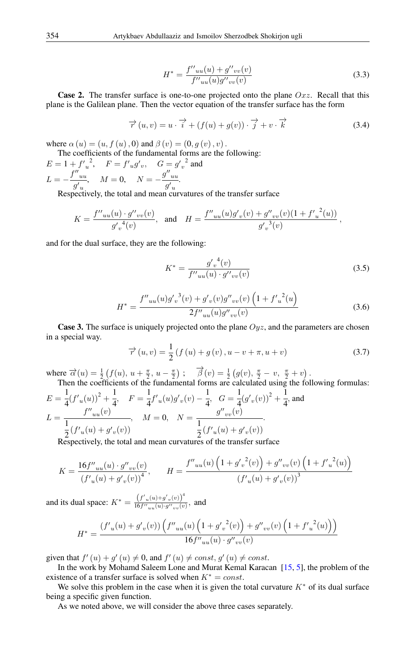<span id="page-3-1"></span>
$$
H^* = \frac{f''_{uu}(u) + g''_{vv}(v)}{f''_{uu}(u)g''_{vv}(v)}
$$
(3.3)

<span id="page-3-0"></span>**Case 2.** The transfer surface is one-to-one projected onto the plane  $Oxz$ . Recall that this plane is the Galilean plane. Then the vector equation of the transfer surface has the form

$$
\overrightarrow{r}(u,v) = u \cdot \overrightarrow{i} + (f(u) + g(v)) \cdot \overrightarrow{j} + v \cdot \overrightarrow{k}
$$
 (3.4)

where  $\alpha(u) = (u, f(u), 0)$  and  $\beta(v) = (0, g(v), v)$ .

The coefficients of the fundamental forms are the following:

 $E = 1 + {f'}_u^2$ ,  $F = f'_{u}g'_{v}$ ,  $G = g'_{v}^2$  and  $L = -\frac{f''_{uu}}{d}$  $g'_{u}$  $M = 0, \quad N = -\frac{g''_{uu}}{g'}$  $g'$ <sub>u</sub> .

Respectively, the total and mean curvatures of the transfer surface

$$
K = \frac{f''_{uu}(u) \cdot g''_{vv}(v)}{g'_v{}^4(v)}, \text{ and } H = \frac{f''_{uu}(u)g'_v(v) + g''_{vv}(v)(1 + {f'}_u{}^2(u))}{g'_v{}^3(v)},
$$

<span id="page-3-2"></span>and for the dual surface, they are the following:

$$
K^* = \frac{g'_{v}^{4}(v)}{f''_{uu}(u) \cdot g''_{vv}(v)}
$$
(3.5)

$$
H^* = \frac{f''_{uu}(u)g'_v{}^3(v) + g'_v(v)g''_{vv}(v)\left(1 + {f'}_u{}^2(u)\right)}{2f''_{uu}(u)g''_{vv}(v)}
$$
(3.6)

**Case 3.** The surface is uniquely projected onto the plane  $Oyz$ , and the parameters are chosen in a special way.

<span id="page-3-3"></span>
$$
\vec{r}(u,v) = \frac{1}{2} (f (u) + g (v), u - v + \pi, u + v)
$$
\n(3.7)

where  $\vec{\alpha}(u) = \frac{1}{2} (f(u), u + \frac{\pi}{2}, u - \frac{\pi}{2})$ ;  $\vec{\beta}(v) = \frac{1}{2} (g(v), \frac{\pi}{2} - v, \frac{\pi}{2} + v)$ .

Then the coefficients of the fundamental forms are calculated using the following formulas:  
\n
$$
E = \frac{1}{4} (f'_u(u))^2 + \frac{1}{4}, \quad F = \frac{1}{4} f'_u(u) g'_v(v) - \frac{1}{4}, \quad G = \frac{1}{4} (g'_v(v))^2 + \frac{1}{4}, \text{ and}
$$
\n
$$
L = \frac{f''_{uu}(v)}{\frac{1}{2} (f'_u(u) + g'_v(v))}, \quad M = 0, \quad N = \frac{g''_{vv}(v)}{\frac{1}{2} (f'_u(u) + g'_v(v))}.
$$
\nResistically, the total and mean curvature of the tangent series.

Respectively, the total and mean curvatures of the transfer surface

$$
K = \frac{16f''_{uu}(u) \cdot g''_{vv}(v)}{(f'u(u) + g'_v(v))} , \qquad H = \frac{f''_{uu}(u) \left(1 + {g'_v}^2(v)\right) + g''_{vv}(v) \left(1 + {f'_u}^2(u)\right)}{(f'_u(u) + g'_v(v))} .
$$

and its dual space:  $K^* = \frac{(f'_u(u) + g'_v(v))^4}{16f''_u(u) + g'_v(v)}$  $\frac{(y_{u}(u)+y_{v}(v))}{16f''_{uu}(u)\cdot g''_{vv}(v)},$  and

$$
H^* = \frac{(f'_u(u) + g'_v(v)) \left(f''_{uu}(u) \left(1 + {g'_v}^2(v)\right) + {g''}_{vv}(v) \left(1 + {f'_u}^2(u)\right)\right)}{16f''_{uu}(u) \cdot g''_{vv}(v)}
$$

given that  $f'(u) + g'(u) \neq 0$ , and  $f'(u) \neq const$ ,  $g'(u) \neq const$ .

In the work by Mohamd Saleem Lone and Murat Kemal Karacan [\[15,](#page-9-15) [5\]](#page-9-16), the problem of the existence of a transfer surface is solved when  $K^* = const.$ 

We solve this problem in the case when it is given the total curvature  $K^*$  of its dual surface being a specific given function.

As we noted above, we will consider the above three cases separately.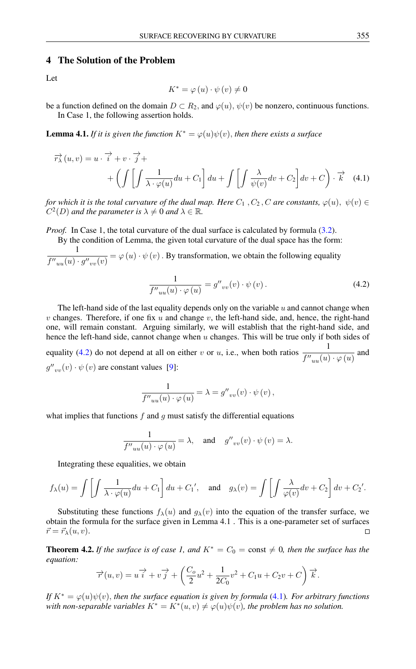### 4 The Solution of the Problem

Let

<span id="page-4-1"></span>
$$
K^* = \varphi(u) \cdot \psi(v) \neq 0
$$

be a function defined on the domain  $D \subset R_2$ , and  $\varphi(u)$ ,  $\psi(v)$  be nonzero, continuous functions. In Case 1, the following assertion holds.

**Lemma 4.1.** *If it is given the function*  $K^* = \varphi(u)\psi(v)$ , *then there exists a surface* 

$$
\overrightarrow{r}_{\lambda}(u,v) = u \cdot \overrightarrow{i} + v \cdot \overrightarrow{j} +
$$
  
+ 
$$
\left( \int \left[ \int \frac{1}{\lambda \cdot \varphi(u)} du + C_1 \right] du + \int \left[ \int \frac{\lambda}{\psi(v)} dv + C_2 \right] dv + C \right) \cdot \overrightarrow{k}
$$
 (4.1)

*for which it is the total curvature of the dual map. Here*  $C_1$ ,  $C_2$ ,  $C$  *are constants*,  $\varphi(u)$ ,  $\psi(v) \in$  $C^2(D)$  and the parameter is  $\lambda \neq 0$  and  $\lambda \in \mathbb{R}$ .

*Proof.* In Case 1, the total curvature of the dual surface is calculated by formula [\(3.2\)](#page-2-0).

By the condition of Lemma, the given total curvature of the dual space has the form:

1  $f''_{uu}(u) \cdot g''_{vv}(v) = \varphi(u) \cdot \psi(v)$ . By transformation, we obtain the following equality

<span id="page-4-0"></span>
$$
\frac{1}{f''_{uu}(u) \cdot \varphi(u)} = g''_{vv}(v) \cdot \psi(v).
$$
\n(4.2)

The left-hand side of the last equality depends only on the variable  $u$  and cannot change when v changes. Therefore, if one fix u and change v, the left-hand side, and, hence, the right-hand one, will remain constant. Arguing similarly, we will establish that the right-hand side, and hence the left-hand side, cannot change when  $u$  changes. This will be true only if both sides of equality [\(4.2\)](#page-4-0) do not depend at all on either v or u, i.e., when both ratios  $\frac{1}{\epsilon u}$  $\overline{f''_{uu}(u)\cdot\varphi\left(u\right)}$  and  $g''_{vv}(v) \cdot \psi(v)$  are constant values [\[9\]](#page-9-17):

$$
\frac{1}{f''_{uu}(u) \cdot \varphi(u)} = \lambda = g''_{vv}(v) \cdot \psi(v) ,
$$

what implies that functions  $f$  and  $g$  must satisfy the differential equations

$$
\frac{1}{f''_{uu}(u) \cdot \varphi(u)} = \lambda, \text{ and } g''_{vv}(v) \cdot \psi(v) = \lambda.
$$

Integrating these equalities, we obtain

$$
f_{\lambda}(u) = \int \left[ \int \frac{1}{\lambda \cdot \varphi(u)} du + C_1 \right] du + C_1', \text{ and } g_{\lambda}(v) = \int \left[ \int \frac{\lambda}{\varphi(v)} dv + C_2 \right] dv + C_2'.
$$

Substituting these functions  $f_{\lambda}(u)$  and  $g_{\lambda}(v)$  into the equation of the transfer surface, we obtain the formula for the surface given in Lemma 4.1 . This is a one-parameter set of surfaces  $\vec{r} = \vec{r}_{\lambda}(u, v).$  $\Box$ 

**Theorem 4.2.** *If the surface is of case 1, and*  $K^* = C_0 = \text{const} \neq 0$ *, then the surface has the equation:*

$$
\overrightarrow{r}(u,v) = u\overrightarrow{i} + v\overrightarrow{j} + \left(\frac{C_o}{2}u^2 + \frac{1}{2C_0}v^2 + C_1u + C_2v + C\right)\overrightarrow{k}.
$$

*If*  $K^* = \varphi(u)\psi(v)$ , *then the surface equation is given by formula* [\(4.1\)](#page-4-1)*. For arbitrary functions* with non-separable variables  $K^* = K^*(u, v) \neq \varphi(u)\psi(v)$ , the problem has no solution.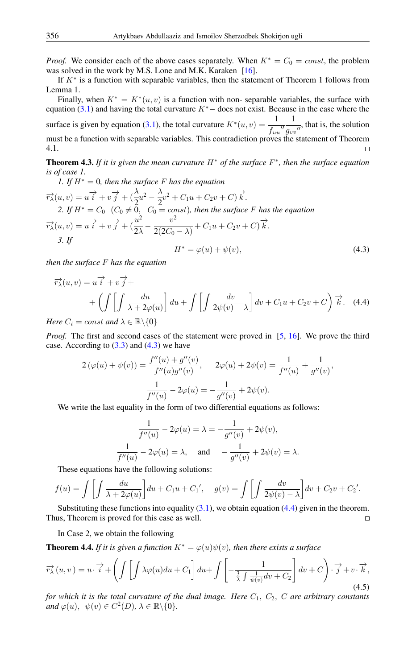*Proof.* We consider each of the above cases separately. When  $K^* = C_0 = const$ , the problem was solved in the work by M.S. Lone and M.K. Karaken [\[16\]](#page-9-1).

If  $K^*$  is a function with separable variables, then the statement of Theorem 1 follows from Lemma 1.

Finally, when  $K^* = K^*(u, v)$  is a function with non-separable variables, the surface with equation [\(3.1\)](#page-2-1) and having the total curvature  $K<sup>*</sup>$  – does not exist. Because in the case where the surface is given by equation [\(3.1\)](#page-2-1), the total curvature  $K^*(u, v) = \frac{1}{f_{uu}}$ 1  $\frac{1}{g_{vv}}$ , that is, the solution must be a function with separable variables. This contradiction proves the statement of Theorem 4.1.  $\Box$ 

Theorem 4.3. *If it is given the mean curvature* H<sup>∗</sup> *of the surface* F ∗ *, then the surface equation is of case 1.*

1. If 
$$
H^* = 0
$$
, then the surface F has the equation  
\n
$$
\overrightarrow{r_{\lambda}}(u, v) = u \overrightarrow{i} + v \overrightarrow{j} + (\frac{\lambda}{2}u^2 - \frac{\lambda}{2}v^2 + C_1u + C_2v + C) \overrightarrow{k}.
$$
\n2. If  $H^* = C_0$   $(C_0 \neq 0, C_0 = const)$ , then the surface F has the equation  
\n
$$
\overrightarrow{r_{\lambda}}(u, v) = u \overrightarrow{i} + v \overrightarrow{j} + (\frac{u^2}{2\lambda} - \frac{v^2}{2(2C_0 - \lambda)} + C_1u + C_2v + C) \overrightarrow{k}.
$$
\n3. If  
\n
$$
H^* = \varphi(u) + \psi(v),
$$
\n(4.3)

<span id="page-5-0"></span>*then the surface* F *has the equation*

$$
\overrightarrow{r}_{\lambda}(u,v) = u \overrightarrow{i} + v \overrightarrow{j} +
$$
  
+ 
$$
\left( \int \left[ \int \frac{du}{\lambda + 2\varphi(u)} \right] du + \int \left[ \int \frac{dv}{2\psi(v) - \lambda} \right] dv + C_1 u + C_2 v + C \right) \overrightarrow{k}.
$$
 (4.4)

*Here*  $C_i = const$  *and*  $\lambda \in \mathbb{R} \backslash \{0\}$ 

*Proof.* The first and second cases of the statement were proved in [\[5,](#page-9-16) [16\]](#page-9-1). We prove the third case. According to  $(3.3)$  and  $(4.3)$  we have

$$
2(\varphi(u) + \psi(v)) = \frac{f''(u) + g''(v)}{f''(u)g''(v)}, \qquad 2\varphi(u) + 2\psi(v) = \frac{1}{f''(u)} + \frac{1}{g''(v)},
$$

$$
\frac{1}{f''(u)} - 2\varphi(u) = -\frac{1}{g''(v)} + 2\psi(v).
$$

We write the last equality in the form of two differential equations as follows:

<span id="page-5-1"></span>
$$
\frac{1}{f''(u)} - 2\varphi(u) = \lambda = -\frac{1}{g''(v)} + 2\psi(v),
$$
  

$$
\frac{1}{f''(u)} - 2\varphi(u) = \lambda, \text{ and } -\frac{1}{g''(v)} + 2\psi(v) = \lambda.
$$

These equations have the following solutions:

$$
f(u) = \int \left[ \int \frac{du}{\lambda + 2\varphi(u)} \right] du + C_1 u + C_1', \quad g(v) = \int \left[ \int \frac{dv}{2\psi(v) - \lambda} \right] dv + C_2 v + C_2'.
$$

Substituting these functions into equality  $(3.1)$ , we obtain equation  $(4.4)$  given in the theorem. Thus, Theorem is proved for this case as well.  $\Box$ 

In Case 2, we obtain the following

**Theorem 4.4.** *If it is given a function*  $K^* = \varphi(u)\psi(v)$ *, then there exists a surface* 

$$
\overrightarrow{r}_{\lambda}(u,v) = u \cdot \overrightarrow{i} + \left( \int \left[ \int \lambda \varphi(u) du + C_1 \right] du + \int \left[ -\frac{1}{\frac{3}{\lambda} \int \frac{1}{\psi(v)} dv + C_2} \right] dv + C \right) \cdot \overrightarrow{j} + v \cdot \overrightarrow{k},
$$
\n(4.5)

*for which it is the total curvature of the dual image. Here*  $C_1$ ,  $C_2$ ,  $C$  *are arbitrary constants*  $\text{and } \varphi(u), \psi(v) \in C^2(D), \lambda \in \mathbb{R} \setminus \{0\}.$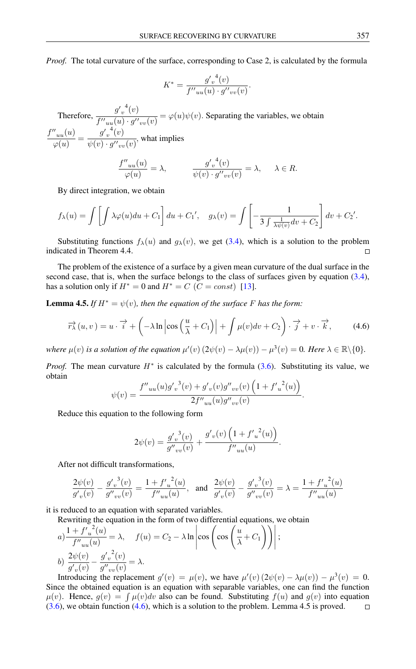*Proof.* The total curvature of the surface, corresponding to Case 2, is calculated by the formula

$$
K^* = \frac{g_v^{\prime 4}(v)}{f^{\prime\prime}_{uu}(u) \cdot g^{\prime\prime}_{vv}(v)}.
$$

Therefore,  $\frac{g'_v{}^4(v)}{f''(v)-g''(v)}$  $\frac{\partial^2 v}{\partial (u^2 - u)(u)} = \varphi(u)\psi(v)$ . Separating the variables, we obtain  $f''_{uu}(u)$  $\frac{y'_{uu}(u)}{\varphi(u)} = \frac{{g'}_v^{-4}(v)}{\psi(v)\cdot {g''}_{vu}}$  $\frac{\partial^2 v}{\partial (v) \cdot g''_{vv}(v)}$ , what implies

$$
\frac{f''_{uu}(u)}{\varphi(u)} = \lambda, \qquad \frac{g'_v{}^4(v)}{\psi(v) \cdot g''_{vv}(v)} = \lambda, \quad \lambda \in R.
$$

By direct integration, we obtain

$$
f_{\lambda}(u) = \int \left[ \int \lambda \varphi(u) du + C_1 \right] du + C_1', \quad g_{\lambda}(v) = \int \left[ -\frac{1}{3 \int \frac{1}{\lambda \psi(v)} dv + C_2} \right] dv + C_2'.
$$

Substituting functions  $f_{\lambda}(u)$  and  $g_{\lambda}(v)$ , we get [\(3.4\)](#page-3-1), which is a solution to the problem indicated in Theorem 4.4.  $\Box$ 

The problem of the existence of a surface by a given mean curvature of the dual surface in the second case, that is, when the surface belongs to the class of surfaces given by equation [\(3.4\)](#page-3-1), has a solution only if  $H^* = 0$  and  $H^* = C$  ( $C = const$ ) [\[13\]](#page-9-4).

**Lemma 4.5.** *If*  $H^* = \psi(v)$ *, then the equation of the surface* F *has the form:* 

$$
\overrightarrow{r}_{\lambda}(u,v) = u \cdot \overrightarrow{i} + \left(-\lambda \ln \left|\cos\left(\frac{u}{\lambda} + C_1\right)\right| + \int \mu(v)dv + C_2\right) \cdot \overrightarrow{j} + v \cdot \overrightarrow{k}, \tag{4.6}
$$

*where*  $\mu(v)$  *is a solution of the equation*  $\mu'(v)(2\psi(v) - \lambda\mu(v)) - \mu^3(v) = 0$ *. Here*  $\lambda \in \mathbb{R} \setminus \{0\}$ *.* 

*Proof.* The mean curvature  $H^*$  is calculated by the formula  $(3.6)$ . Substituting its value, we obtain

<span id="page-6-0"></span>
$$
\psi(v) = \frac{f''_{uu}(u)g'_{v}^{3}(v) + g'_{v}(v)g''_{vv}(v)\left(1 + {f'}_{u}^{2}(u)\right)}{2f''_{uu}(u)g''_{vv}(v)}.
$$

Reduce this equation to the following form

$$
2\psi(v) = \frac{{g'}_v^{3}(v)}{g''_{vv}(v)} + \frac{{g'}_v(v)\left(1 + {f'}_u^{2}(u)\right)}{f''_{uu}(u)}.
$$

After not difficult transformations,

$$
\frac{2\psi(v)}{g'_{v}(v)} - \frac{{g'}_v^3(v)}{g''_{vv}(v)} = \frac{1 + {f'}_u^2(u)}{f''_{uu}(u)}, \text{ and } \frac{2\psi(v)}{g'_{v}(v)} - \frac{{g'}_v^3(v)}{g''_{vv}(v)} = \lambda = \frac{1 + {f'}_u^2(u)}{f''_{uu}(u)}
$$

it is reduced to an equation with separated variables.

Rewriting the equation in the form of two differential equations, we obtain

$$
a) \frac{1 + {f'}_u^2(u)}{f''_{uu}(u)} = \lambda, \quad f(u) = C_2 - \lambda \ln \left| \cos \left( \cos \left( \frac{u}{\lambda} + C_1 \right) \right) \right|;
$$
  

$$
b) \frac{2\psi(v)}{g'_v(v)} - \frac{{g'}_v^2(v)}{g''_{vv}(v)} = \lambda.
$$

Introducing the replacement  $g'(v) = \mu(v)$ , we have  $\mu'(v)(2\psi(v) - \lambda\mu(v)) - \mu^3(v) = 0$ . Since the obtained equation is an equation with separable variables, one can find the function  $\mu(v)$ . Hence,  $g(v) = \int \mu(v)dv$  also can be found. Substituting  $f(u)$  and  $g(v)$  into equation [\(3.6\)](#page-3-2), we obtain function [\(4.6\)](#page-6-0), which is a solution to the problem. Lemma 4.5 is proved. $\Box$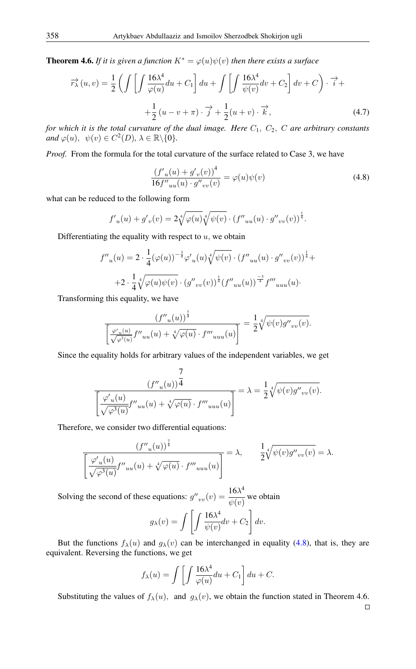**Theorem 4.6.** *If it is given a function*  $K^* = \varphi(u)\psi(v)$  *then there exists a surface* 

$$
\overrightarrow{r}_{\lambda}(u,v) = \frac{1}{2} \left( \int \left[ \int \frac{16\lambda^4}{\varphi(u)} du + C_1 \right] du + \int \left[ \int \frac{16\lambda^4}{\psi(v)} dv + C_2 \right] dv + C \right) \cdot \overrightarrow{i} +
$$

$$
+ \frac{1}{2} (u - v + \pi) \cdot \overrightarrow{j} + \frac{1}{2} (u + v) \cdot \overrightarrow{k}, \tag{4.7}
$$

*for which it is the total curvature of the dual image. Here*  $C_1$ ,  $C_2$ ,  $C$  *are arbitrary constants and*  $\varphi(u)$ ,  $\psi(v) \in C^2(D)$ ,  $\lambda \in \mathbb{R} \setminus \{0\}$ .

*Proof.* From the formula for the total curvature of the surface related to Case 3, we have

<span id="page-7-0"></span>
$$
\frac{(f'_u(u) + g'_v(v))^4}{16f''_{uu}(u) \cdot g''_{vv}(v)} = \varphi(u)\psi(v)
$$
\n(4.8)

what can be reduced to the following form

$$
f'_{u}(u) + g'_{v}(v) = 2\sqrt[4]{\varphi(u)}\sqrt[4]{\psi(v)} \cdot (f''_{uu}(u) \cdot g''_{vv}(v))^\frac{1}{4}.
$$

Differentiating the equality with respect to  $u$ , we obtain

$$
f''_{u}(u) = 2 \cdot \frac{1}{4} (\varphi(u))^{-\frac{3}{4}} \varphi'_{u}(u) \sqrt[4]{\psi(v)} \cdot (f''_{uu}(u) \cdot g''_{vv}(v))^{1/4} +
$$
  
+2 \cdot \frac{1}{4} \sqrt[4]{\varphi(u) \psi(v)} \cdot (g''\_{vv}(v))^{1/4} (f''\_{uu}(u))^{1/4} f'''\_{uuu}(u)

Transforming this equality, we have

$$
\frac{\left(f''_{u}(u)\right)^{\frac{7}{4}}}{\left[\frac{\varphi'_{u}(u)}{\sqrt{\varphi^{3}(u)}}f''_{uu}(u) + \sqrt[4]{\varphi(u)} \cdot f'''_{uuu}(u)\right]} = \frac{1}{2} \sqrt[4]{\psi(v)g''_{vv}(v)}.
$$

Since the equality holds for arbitrary values of the independent variables, we get

$$
\frac{\displaystyle (f''_u(u))^\frac{7}{4}}{\displaystyle \left[\frac{\varphi{'}_u(u)}{\sqrt{\varphi^3(u)}}f''_{uu}(u)+\sqrt[4]{\varphi(u)}\cdot f''''_{uuu}(u)\right]}=\lambda=\frac{1}{2}\sqrt[4]{\psi(v)g''_{vv}(v)}.
$$

Therefore, we consider two differential equations:

$$
\frac{\left(f''_u(u)\right)^{\frac{7}{4}}}{\left[\frac{\varphi'_u(u)}{\sqrt{\varphi^3(u)}}f''_{uu}(u) + \sqrt[4]{\varphi(u)} \cdot f'''_{uu}(u)\right]} = \lambda, \qquad \frac{1}{2}\sqrt[4]{\psi(v)g''_{vv}(v)} = \lambda.
$$

Solving the second of these equations:  $g''_{vv}(v) = \frac{16\lambda^4}{v^{(s)}}$  $\frac{\partial u}{\partial \psi(v)}$  we obtain

$$
g_{\lambda}(v) = \int \left[ \int \frac{16\lambda^4}{\psi(v)} dv + C_2 \right] dv.
$$

But the functions  $f_{\lambda}(u)$  and  $g_{\lambda}(v)$  can be interchanged in equality [\(4.8\)](#page-7-0), that is, they are equivalent. Reversing the functions, we get

$$
f_{\lambda}(u) = \int \left[ \int \frac{16\lambda^4}{\varphi(u)} du + C_1 \right] du + C.
$$

Substituting the values of  $f_{\lambda}(u)$ , and  $g_{\lambda}(v)$ , we obtain the function stated in Theorem 4.6.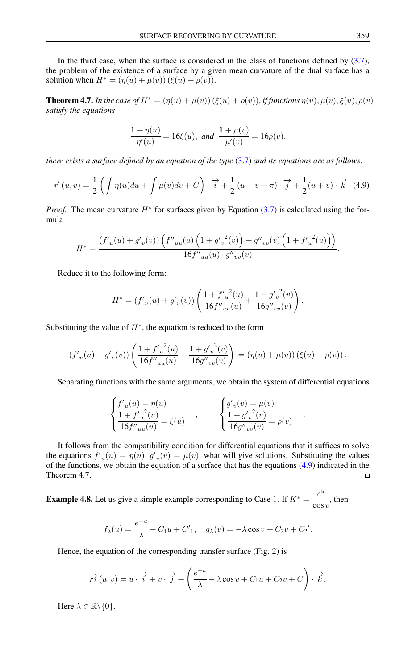In the third case, when the surface is considered in the class of functions defined by  $(3.7)$ , the problem of the existence of a surface by a given mean curvature of the dual surface has a solution when  $H^* = (\eta(u) + \mu(v)) (\xi(u) + \rho(v)).$ 

**Theorem 4.7.** In the case of  $H^* = (\eta(u) + \mu(v)) (\xi(u) + \rho(v))$ , if functions  $\eta(u), \mu(v), \xi(u), \rho(v)$ *satisfy the equations*

<span id="page-8-0"></span>
$$
\frac{1+\eta(u)}{\eta'(u)} = 16\xi(u), \text{ and } \frac{1+\mu(v)}{\mu'(v)} = 16\rho(v),
$$

*there exists a surface defined by an equation of the type* [\(3.7\)](#page-3-3) *and its equations are as follows:*

$$
\overrightarrow{r}(u,v) = \frac{1}{2} \left( \int \eta(u) du + \int \mu(v) dv + C \right) \cdot \overrightarrow{i} + \frac{1}{2} \left( u - v + \pi \right) \cdot \overrightarrow{j} + \frac{1}{2} \left( u + v \right) \cdot \overrightarrow{k} \tag{4.9}
$$

*Proof.* The mean curvature  $H^*$  for surfaces given by Equation [\(3.7\)](#page-3-3) is calculated using the formula

$$
H^* = \frac{(f'_u(u) + g'_v(v)) \left(f''_{uu}(u) \left(1 + {g'}_v^2(v)\right) + g''_{vv}(v) \left(1 + {f'}_u^2(u)\right)\right)}{16 f''_{uu}(u) \cdot g''_{vv}(v)}.
$$

Reduce it to the following form:

$$
H^* = (f'_{u}(u) + g'_{v}(v)) \left( \frac{1 + {f'}_{u}^{2}(u)}{16f''_{uu}(u)} + \frac{1 + {g'}_{v}^{2}(v)}{16g''_{vv}(v)} \right).
$$

Substituting the value of  $H^*$ , the equation is reduced to the form

$$
(f'_{u}(u) + g'_{v}(v)) \left( \frac{1 + {f'}_{u}^{2}(u)}{16f''_{uu}(u)} + \frac{1 + {g'}_{v}^{2}(v)}{16g''_{vv}(v)} \right) = (\eta(u) + \mu(v)) \left( \xi(u) + \rho(v) \right).
$$

Separating functions with the same arguments, we obtain the system of differential equations

.

$$
\begin{cases}\nf'_{u}(u) = \eta(u) \\
\frac{1 + f'_{u}(u)}{16f''_{uu}(u)} = \xi(u)\n\end{cases}, \n\qquad\n\begin{cases}\ng'_{v}(v) = \mu(v) \\
\frac{1 + g'_{v}(v)}{16g''_{vv}(v)} = \rho(v)\n\end{cases}
$$

It follows from the compatibility condition for differential equations that it suffices to solve the equations  $f'_u(u) = \eta(u)$ ,  $g'_v(v) = \mu(v)$ , what will give solutions. Substituting the values of the functions, we obtain the equation of a surface that has the equations  $(4.9)$  indicated in the Theorem 4.7.  $\Box$ 

**Example 4.8.** Let us give a simple example corresponding to Case 1. If  $K^* = \frac{e^u}{\epsilon^2}$  $\frac{1}{\cos v}$ , then

$$
f_{\lambda}(u) = \frac{e^{-u}}{\lambda} + C_1 u + C'_1, \quad g_{\lambda}(v) = -\lambda \cos v + C_2 v + C'_2'.
$$

Hence, the equation of the corresponding transfer surface (Fig. 2) is

$$
\overrightarrow{r\lambda}(u,v) = u \cdot \overrightarrow{i} + v \cdot \overrightarrow{j} + \left(\frac{e^{-u}}{\lambda} - \lambda \cos v + C_1 u + C_2 v + C\right) \cdot \overrightarrow{k}.
$$

Here  $\lambda \in \mathbb{R} \backslash \{0\}.$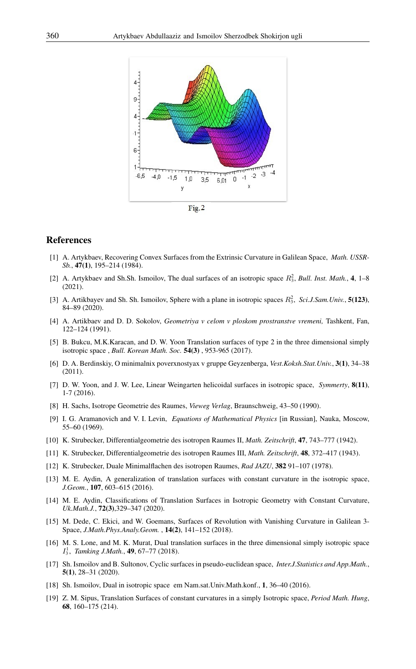

# <span id="page-9-0"></span>References

- [1] A. Artykbaev, Recovering Convex Surfaces from the Extrinsic Curvature in Galilean Space, *Math. USSR-Sb.*, 47(1), 195–214 (1984).
- <span id="page-9-6"></span>[2] A. Artykbaev and Sh.Sh. Ismoilov, The dual surfaces of an isotropic space  $R_3^2$ , *Bull. Inst. Math.*, 4, 1–8 (2021).
- <span id="page-9-2"></span>[3] A. Artikbayev and Sh. Sh. Ismoilov, Sphere with a plane in isotropic spaces  $R_3^2$ , *Sci.J.Sam.Univ.*, **5(123**), 84–89 (2020).
- <span id="page-9-13"></span>[4] A. Artikbaev and D. D. Sokolov, *Geometriya v celom v ploskom prostranstve vremeni,* Tashkent, Fan, 122–124 (1991).
- <span id="page-9-16"></span>[5] B. Bukcu, M.K.Karacan, and D. W. Yoon Translation surfaces of type 2 in the three dimensional simply isotropic space , *Bull. Korean Math. Soc.* 54(3) , 953-965 (2017).
- <span id="page-9-5"></span>[6] D. A. Berdinskiy, O minimalnix poverxnostyax v gruppe Geyzenberga, *Vest.Koksh.Stat.Univ.*, 3(1), 34–38 (2011).
- <span id="page-9-7"></span>[7] D. W. Yoon, and J. W. Lee, Linear Weingarten helicoidal surfaces in isotropic space, *Symmerty*, 8(11), 1-7 (2016).
- <span id="page-9-10"></span>[8] H. Sachs, Isotrope Geometrie des Raumes, *Vieweg Verlag*, Braunschweig, 43–50 (1990).
- <span id="page-9-17"></span>[9] I. G. Aramanovich and V. I. Levin, *Equations of Mathematical Physics* [in Russian], Nauka, Moscow, 55–60 (1969).
- <span id="page-9-8"></span>[10] K. Strubecker, Differentialgeometrie des isotropen Raumes II, *Math. Zeitschrift*, 47, 743–777 (1942).
- <span id="page-9-9"></span>[11] K. Strubecker, Differentialgeometrie des isotropen Raumes III, *Math. Zeitschrift*, 48, 372–417 (1943).
- <span id="page-9-12"></span>[12] K. Strubecker, Duale Minimalflachen des isotropen Raumes, *Rad JAZU*, 382 91–107 (1978).
- <span id="page-9-4"></span>[13] M. E. Aydin, A generalization of translation surfaces with constant curvature in the isotropic space, *J.Geom.*, 107, 603–615 (2016).
- <span id="page-9-14"></span>[14] M. E. Aydin, Classifications of Translation Surfaces in Isotropic Geometry with Constant Curvature, *Uk.Math.J.*, 72(3),329–347 (2020).
- <span id="page-9-15"></span>[15] M. Dede, C. Ekici, and W. Goemans, Surfaces of Revolution with Vanishing Curvature in Galilean 3- Space, *J.Math.Phys.Analy.Geom.* , 14(2), 141–152 (2018).
- <span id="page-9-1"></span>[16] M. S. Lone, and M. K. Murat, Dual translation surfaces in the three dimensional simply isotropic space  $I_3^1$ , *Tamking J.Math.*, **49**, 67–77 (2018).
- <span id="page-9-3"></span>[17] Sh. Ismoilov and B. Sultonov, Cyclic surfaces in pseudo-euclidean space, *Inter.J.Statistics and App.Math.*, 5(1), 28–31 (2020).
- [18] Sh. Ismoilov, Dual in isotropic space em Nam.sat.Univ.Math.konf., 1, 36–40 (2016).
- <span id="page-9-11"></span>[19] Z. M. Sipus, Translation Surfaces of constant curvatures in a simply Isotropic space, *Period Math. Hung*, 68, 160–175 (214).